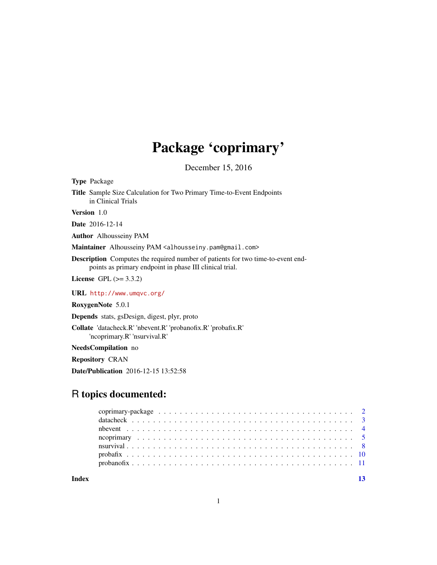## Package 'coprimary'

December 15, 2016

Type Package Title Sample Size Calculation for Two Primary Time-to-Event Endpoints in Clinical Trials

Version 1.0

Date 2016-12-14

Author Alhousseiny PAM

Maintainer Alhousseiny PAM <alhousseiny.pam@gmail.com>

Description Computes the required number of patients for two time-to-event endpoints as primary endpoint in phase III clinical trial.

License GPL  $(>= 3.3.2)$ 

URL <http://www.umqvc.org/>

RoxygenNote 5.0.1

Depends stats, gsDesign, digest, plyr, proto

Collate 'datacheck.R' 'nbevent.R' 'probanofix.R' 'probafix.R' 'ncoprimary.R' 'nsurvival.R'

NeedsCompilation no

Repository CRAN

Date/Publication 2016-12-15 13:52:58

## R topics documented:

**Index** [13](#page-12-0)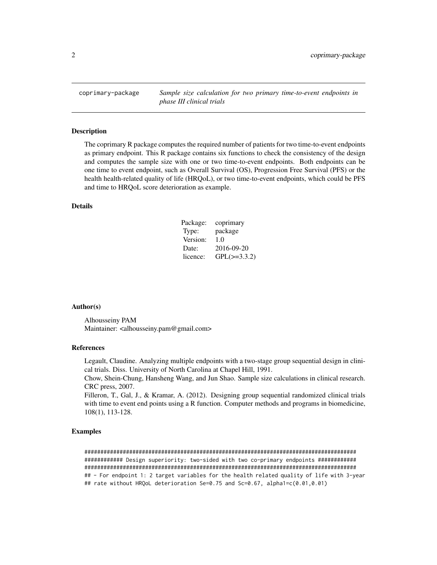<span id="page-1-0"></span>coprimary-package *Sample size calculation for two primary time-to-event endpoints in phase III clinical trials*

#### Description

The coprimary R package computes the required number of patients for two time-to-event endpoints as primary endpoint. This R package contains six functions to check the consistency of the design and computes the sample size with one or two time-to-event endpoints. Both endpoints can be one time to event endpoint, such as Overall Survival (OS), Progression Free Survival (PFS) or the health health-related quality of life (HRQoL), or two time-to-event endpoints, which could be PFS and time to HRQoL score deterioration as example.

#### Details

| Package: | coprimary         |
|----------|-------------------|
| Type:    | package           |
| Version: | 1.0               |
| Date:    | 2016-09-20        |
| licence: | $GPL(\geq=3.3.2)$ |

#### Author(s)

Alhousseiny PAM Maintainer: <alhousseiny.pam@gmail.com>

#### References

Legault, Claudine. Analyzing multiple endpoints with a two-stage group sequential design in clinical trials. Diss. University of North Carolina at Chapel Hill, 1991.

Chow, Shein-Chung, Hansheng Wang, and Jun Shao. Sample size calculations in clinical research. CRC press, 2007.

Filleron, T., Gal, J., & Kramar, A. (2012). Designing group sequential randomized clinical trials with time to event end points using a R function. Computer methods and programs in biomedicine, 108(1), 113-128.

#### Examples

##################################################################################### ############ Design superiority: two-sided with two co-primary endpoints ############ ##################################################################################### ## - For endpoint 1: 2 target variables for the health related quality of life with 3-year ## rate without HRQoL deterioration Se=0.75 and Sc=0.67, alpha1=c(0.01,0.01)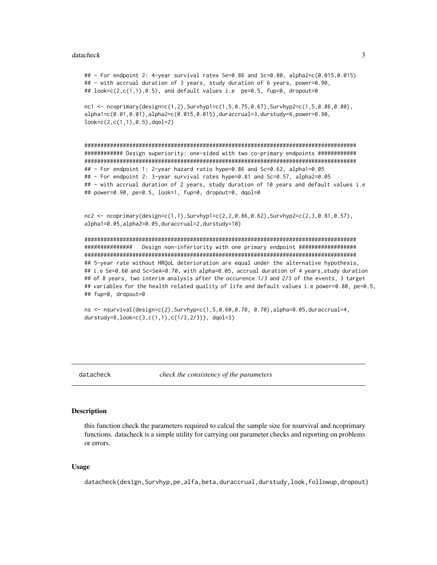#### <span id="page-2-0"></span>datacheck

## - For endpoint 2: 4-year survival rates Se=0.86 and Sc=0.80, alpha2=c(0.015,0.015) ## - with accrual duration of 3 years, study duration of 6 years, power=0.90, ## look=c(2,c(1,1),0.5), and default values i.e  $pe=0.5$ , fup=0, dropout=0

nc1 <- ncoprimary(design=c(1,2),Survhyp1=c(1,5,0.75,0.67),Survhyp2=c(1,5,0.86,0.80), alpha1=c(0.01,0.01),alpha2=c(0.015,0.015),duraccrual=3,durstudy=6,power=0.90,  $look=c(2, c(1, 1), 0.5)$ , dqol=2)

############# Design superiority: one-sided with two co-primary endpoints ############ ## - For endpoint 1: 2-year hazard ratio hype=0.86 and Sc=0.62, alpha1=0.05 ## - For endpoint 2: 3-year survival rates hype=0.81 and Sc=0.57, alpha2=0.05 ## - with accrual duration of 2 years, study duration of 10 years and default values i.e ## power=0.90, pe=0.5, look=1, fup=0, dropout=0, dqol=0

 $nc2 \leq$  ncoprimary(design=c(1,1),Survhyp1=c(2,2,0.86,0.62),Survhyp2=c(2,3,0.81,0.57), alpha1=0.05, alpha2=0.05, duraccrual=2, durstudy=10)

Design non-inferiority with one primary endpoint ################### ############### ## 5-year rate without HRQoL deterioration are equal under the alternative hypothesis, ## i.e Se=0.60 and Sc=SeA=0.70, with alpha=0.05, accrual duration of 4 years,study duration ## of 8 years, two interim analysis after the occurence 1/3 and 2/3 of the events, 3 target ## variables for the health related quality of life and default values i.e power=0.80, pe=0.5, ## fup=0, dropout=0

ns <- nsurvival(design=c(2), Survhyp=c(1,5,0.60,0.70, 0.70), alpha=0.05, duraccrual=4, durstudy=8,  $look = c(3, c(1, 1), c(1/3, 2/3))$ , dqol=3)

datacheck

check the consistency of the parameters

#### **Description**

this function check the parameters required to calcul the sample size for nsurvival and neoprimary functions. datacheck is a simple utility for carrying out parameter checks and reporting on problems or errors.

#### **Usage**

datacheck(design, Survhyp, pe, alfa, beta, duraccrual, durstudy, look, followup, dropout)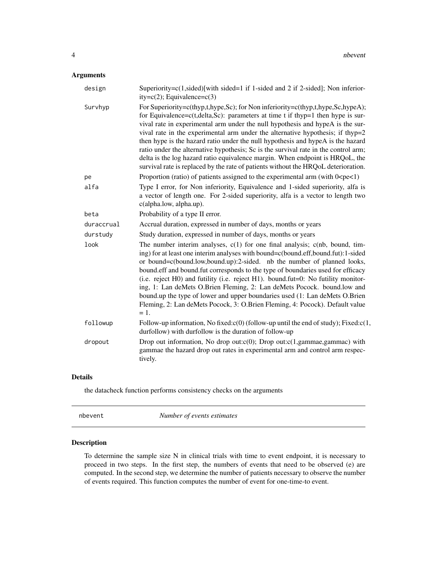## <span id="page-3-0"></span>Arguments

| design     | Superiority= $c(1,sided)$ [with sided=1 if 1-sided and 2 if 2-sided]; Non inferior-<br>$ity=c(2)$ ; Equivalence= $c(3)$                                                                                                                                                                                                                                                                                                                                                                                                                                                                                                                                                                       |
|------------|-----------------------------------------------------------------------------------------------------------------------------------------------------------------------------------------------------------------------------------------------------------------------------------------------------------------------------------------------------------------------------------------------------------------------------------------------------------------------------------------------------------------------------------------------------------------------------------------------------------------------------------------------------------------------------------------------|
| Survhyp    | For Superiority=c(thyp,t,hype,Sc); for Non inferiority=c(thyp,t,hype,Sc,hypeA);<br>for Equivalence= $c(t, delta, Sc)$ : parameters at time t if thyp=1 then hype is sur-<br>vival rate in experimental arm under the null hypothesis and hypeA is the sur-<br>vival rate in the experimental arm under the alternative hypothesis; if thyp=2<br>then hype is the hazard ratio under the null hypothesis and hypeA is the hazard<br>ratio under the alternative hypothesis; Sc is the survival rate in the control arm;<br>delta is the log hazard ratio equivalence margin. When endpoint is HRQoL, the<br>survival rate is replaced by the rate of patients without the HRQoL deterioration. |
| pe         | Proportion (ratio) of patients assigned to the experimental arm (with $0 < p < 1$ )                                                                                                                                                                                                                                                                                                                                                                                                                                                                                                                                                                                                           |
| alfa       | Type I error, for Non inferiority, Equivalence and 1-sided superiority, alfa is<br>a vector of length one. For 2-sided superiority, alfa is a vector to length two<br>c(alpha.low, alpha.up).                                                                                                                                                                                                                                                                                                                                                                                                                                                                                                 |
| beta       | Probability of a type II error.                                                                                                                                                                                                                                                                                                                                                                                                                                                                                                                                                                                                                                                               |
| duraccrual | Accrual duration, expressed in number of days, months or years                                                                                                                                                                                                                                                                                                                                                                                                                                                                                                                                                                                                                                |
| durstudy   | Study duration, expressed in number of days, months or years                                                                                                                                                                                                                                                                                                                                                                                                                                                                                                                                                                                                                                  |
| look       | The number interim analyses, $c(1)$ for one final analysis; $c(nb$ , bound, tim-<br>ing) for at least one interim analyses with bound=c(bound.eff,bound.fut):1-sided<br>or bound=c(bound.low,bound.up):2-sided. nb the number of planned looks,<br>bound.eff and bound.fut corresponds to the type of boundaries used for efficacy<br>(i.e. reject H0) and futility (i.e. reject H1). bound.fut=0: No futility monitor-<br>ing, 1: Lan deMets O.Brien Fleming, 2: Lan deMets Pocock. bound.low and<br>bound.up the type of lower and upper boundaries used (1: Lan deMets O.Brien<br>Fleming, 2: Lan deMets Pocock, 3: O.Brien Fleming, 4: Pocock). Default value<br>$=$ 1.                   |
| followup   | Follow-up information, No fixed: $c(0)$ (follow-up until the end of study); Fixed: $c(1, 1)$<br>durfollow) with durfollow is the duration of follow-up                                                                                                                                                                                                                                                                                                                                                                                                                                                                                                                                        |
| dropout    | Drop out information, No drop out: $c(0)$ ; Drop out: $c(1, \text{gamma}, \text{gamma}, \text{gamma})$ with<br>gammae the hazard drop out rates in experimental arm and control arm respec-<br>tively.                                                                                                                                                                                                                                                                                                                                                                                                                                                                                        |

## Details

the datacheck function performs consistency checks on the arguments

nbevent *Number of events estimates*

## Description

To determine the sample size N in clinical trials with time to event endpoint, it is necessary to proceed in two steps. In the first step, the numbers of events that need to be observed (e) are computed. In the second step, we determine the number of patients necessary to observe the number of events required. This function computes the number of event for one-time-to event.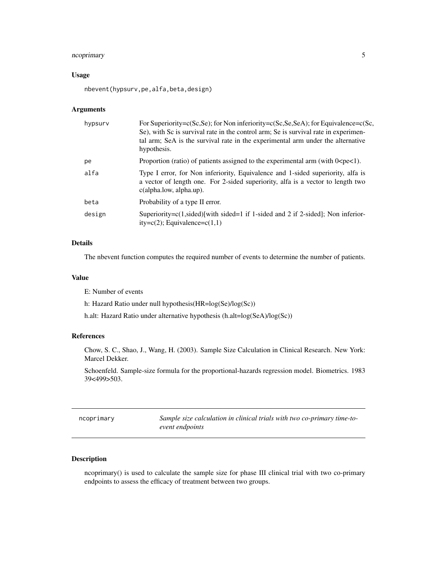## <span id="page-4-0"></span>ncoprimary 5

#### Usage

nbevent(hypsurv,pe,alfa,beta,design)

## Arguments

| For Superiority= $c(Sc, Se)$ ; for Non inferiority= $c(Sc, Se, SeA)$ ; for Equivalence= $c(Sc,$<br>Se), with Sc is survival rate in the control arm; Se is survival rate in experimen-<br>tal arm; SeA is the survival rate in the experimental arm under the alternative<br>hypothesis. |
|------------------------------------------------------------------------------------------------------------------------------------------------------------------------------------------------------------------------------------------------------------------------------------------|
| Proportion (ratio) of patients assigned to the experimental arm (with $0 < p \in \{1\}$ ).                                                                                                                                                                                               |
| Type I error, for Non inferiority, Equivalence and 1-sided superiority, alfa is<br>a vector of length one. For 2-sided superiority, alfa is a vector to length two<br>$c$ (alpha.low, alpha.up).                                                                                         |
| Probability of a type II error.                                                                                                                                                                                                                                                          |
| Superiority= $c(1,sided)[with sided=1 if 1-sided and 2 if 2-sided];$ Non inferior-<br>$ity=c(2)$ ; Equivalence=c $(1,1)$                                                                                                                                                                 |
|                                                                                                                                                                                                                                                                                          |

## Details

The nbevent function computes the required number of events to determine the number of patients.

#### Value

E: Number of events

h: Hazard Ratio under null hypothesis(HR=log(Se)/log(Sc))

h.alt: Hazard Ratio under alternative hypothesis (h.alt=log(SeA)/log(Sc))

## References

Chow, S. C., Shao, J., Wang, H. (2003). Sample Size Calculation in Clinical Research. New York: Marcel Dekker.

Schoenfeld. Sample-size formula for the proportional-hazards regression model. Biometrics. 1983 39<499>503.

ncoprimary *Sample size calculation in clinical trials with two co-primary time-toevent endpoints*

## Description

ncoprimary() is used to calculate the sample size for phase III clinical trial with two co-primary endpoints to assess the efficacy of treatment between two groups.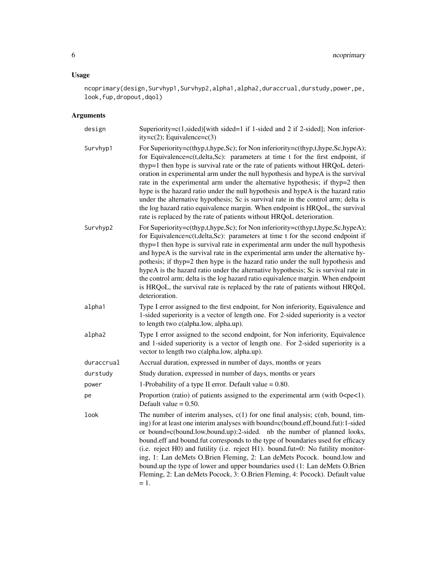## Usage

ncoprimary(design,Survhyp1,Survhyp2,alpha1,alpha2,duraccrual,durstudy,power,pe, look,fup,dropout,dqol)

## Arguments

| design     | Superiority=c(1,sided)[with sided=1 if 1-sided and 2 if 2-sided]; Non inferior-<br>$ity=c(2)$ ; Equivalence= $c(3)$                                                                                                                                                                                                                                                                                                                                                                                                                                                                                                                                                                                                                                          |
|------------|--------------------------------------------------------------------------------------------------------------------------------------------------------------------------------------------------------------------------------------------------------------------------------------------------------------------------------------------------------------------------------------------------------------------------------------------------------------------------------------------------------------------------------------------------------------------------------------------------------------------------------------------------------------------------------------------------------------------------------------------------------------|
| Survhyp1   | For Superiority=c(thyp,t,hype,Sc); for Non inferiority=c(thyp,t,hype,Sc,hypeA);<br>for Equivalence=c(t,delta,Sc): parameters at time t for the first endpoint, if<br>thyp=1 then hype is survival rate or the rate of patients without HRQoL deteri-<br>oration in experimental arm under the null hypothesis and hypeA is the survival<br>rate in the experimental arm under the alternative hypothesis; if thyp=2 then<br>hype is the hazard ratio under the null hypothesis and hypeA is the hazard ratio<br>under the alternative hypothesis; Sc is survival rate in the control arm; delta is<br>the log hazard ratio equivalence margin. When endpoint is HRQoL, the survival<br>rate is replaced by the rate of patients without HRQoL deterioration. |
| Survhyp2   | For Superiority=c(thyp,t,hype,Sc); for Non inferiority=c(thyp,t,hype,Sc,hypeA);<br>for Equivalence=c(t,delta,Sc): parameters at time t for the second endpoint if<br>thyp=1 then hype is survival rate in experimental arm under the null hypothesis<br>and hypeA is the survival rate in the experimental arm under the alternative hy-<br>pothesis; if thyp=2 then hype is the hazard ratio under the null hypothesis and<br>hypeA is the hazard ratio under the alternative hypothesis; Sc is survival rate in<br>the control arm; delta is the log hazard ratio equivalence margin. When endpoint<br>is HRQoL, the survival rate is replaced by the rate of patients without HRQoL<br>deterioration.                                                     |
| alpha1     | Type I error assigned to the first endpoint, for Non inferiority, Equivalence and<br>1-sided superiority is a vector of length one. For 2-sided superiority is a vector<br>to length two c(alpha.low, alpha.up).                                                                                                                                                                                                                                                                                                                                                                                                                                                                                                                                             |
| alpha2     | Type I error assigned to the second endpoint, for Non inferiority, Equivalence<br>and 1-sided superiority is a vector of length one. For 2-sided superiority is a<br>vector to length two c(alpha.low, alpha.up).                                                                                                                                                                                                                                                                                                                                                                                                                                                                                                                                            |
| duraccrual | Accrual duration, expressed in number of days, months or years                                                                                                                                                                                                                                                                                                                                                                                                                                                                                                                                                                                                                                                                                               |
| durstudy   | Study duration, expressed in number of days, months or years                                                                                                                                                                                                                                                                                                                                                                                                                                                                                                                                                                                                                                                                                                 |
| power      | 1-Probability of a type II error. Default value $= 0.80$ .                                                                                                                                                                                                                                                                                                                                                                                                                                                                                                                                                                                                                                                                                                   |
| pe         | Proportion (ratio) of patients assigned to the experimental arm (with 0 <pe<1).<br>Default value <math>= 0.50</math>.</pe<1).<br>                                                                                                                                                                                                                                                                                                                                                                                                                                                                                                                                                                                                                            |
| look       | The number of interim analyses, $c(1)$ for one final analysis; $c(nb$ , bound, tim-<br>ing) for at least one interim analyses with bound=c(bound.eff,bound.fut):1-sided<br>or bound=c(bound.low,bound.up):2-sided. nb the number of planned looks,<br>bound.eff and bound.fut corresponds to the type of boundaries used for efficacy<br>(i.e. reject H0) and futility (i.e. reject H1). bound.fut=0: No futility monitor-<br>ing, 1: Lan deMets O.Brien Fleming, 2: Lan deMets Pocock. bound.low and<br>bound.up the type of lower and upper boundaries used (1: Lan deMets O.Brien<br>Fleming, 2: Lan deMets Pocock, 3: O.Brien Fleming, 4: Pocock). Default value<br>= 1.                                                                                 |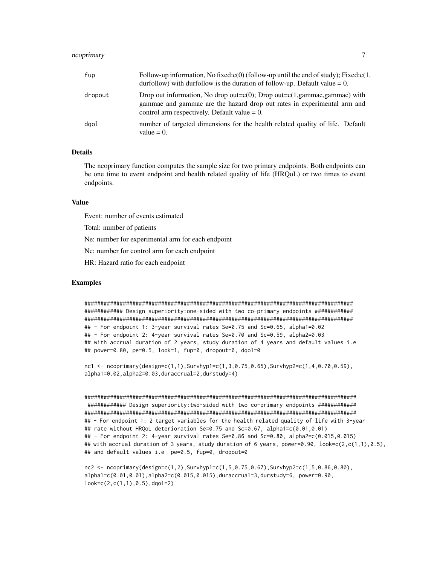## ncoprimary 7

| fup     | Follow-up information, No fixed: $c(0)$ (follow-up until the end of study); Fixed: $c(1, 1)$<br>durfollow) with durfollow is the duration of follow-up. Default value $= 0$ .                                                             |
|---------|-------------------------------------------------------------------------------------------------------------------------------------------------------------------------------------------------------------------------------------------|
| dropout | Drop out information, No drop out= $c(0)$ ; Drop out= $c(1, \text{gamma}, \text{gamma}, \text{gamma})$ with<br>gammae and gammac are the hazard drop out rates in experimental arm and<br>control arm respectively. Default value $= 0$ . |
| daol    | number of targeted dimensions for the health related quality of life. Default<br>value $= 0$ .                                                                                                                                            |

#### Details

The ncoprimary function computes the sample size for two primary endpoints. Both endpoints can be one time to event endpoint and health related quality of life (HRQoL) or two times to event endpoints.

#### Value

Event: number of events estimated

Total: number of patients

Ne: number for experimental arm for each endpoint

Nc: number for control arm for each endpoint

HR: Hazard ratio for each endpoint

#### Examples

#################################################################################### ############ Design superiority:one-sided with two co-primary endpoints ############ #################################################################################### ## - For endpoint 1: 3-year survival rates Se=0.75 and Sc=0.65, alpha1=0.02 ## - For endpoint 2: 4-year survival rates Se=0.70 and Sc=0.59, alpha2=0.03 ## with accrual duration of 2 years, study duration of 4 years and default values i.e ## power=0.80, pe=0.5, look=1, fup=0, dropout=0, dqol=0

nc1 <- ncoprimary(design=c(1,1),Survhyp1=c(1,3,0.75,0.65),Survhyp2=c(1,4,0.70,0.59), alpha1=0.02,alpha2=0.03,duraccrual=2,durstudy=4)

```
#####################################################################################
############ Design superiority:two-sided with two co-primary endpoints ############
#####################################################################################
## - For endpoint 1: 2 target variables for the health related quality of life with 3-year
## rate without HRQoL deterioration Se=0.75 and Sc=0.67, alpha1=c(0.01,0.01)
## - For endpoint 2: 4-year survival rates Se=0.86 and Sc=0.80, alpha2=c(0.015,0.015)
## with accrual duration of 3 years, study duration of 6 years, power=0.90, look = c(2, c(1,1), 0.5),
## and default values i.e pe=0.5, fup=0, dropout=0
```
nc2 <- ncoprimary(design=c(1,2),Survhyp1=c(1,5,0.75,0.67),Survhyp2=c(1,5,0.86,0.80), alpha1=c(0.01,0.01),alpha2=c(0.015,0.015),duraccrual=3,durstudy=6, power=0.90, look=c(2,c(1,1),0.5),dqol=2)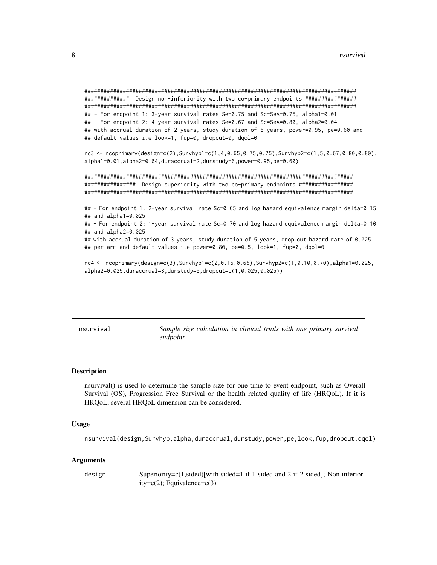```
############## Design non-inferiority with two co-primary endpoints ################
## - For endpoint 1: 3-year survival rates Se=0.75 and Sc=SeA=0.75, alpha1=0.01
## - For endpoint 2: 4-year survival rates Se=0.67 and Sc=SeA=0.80, alpha2=0.04
## with accrual duration of 2 years, study duration of 6 years, power=0.95, pe=0.60 and
## default values i.e look=1, fup=0, dropout=0, dqol=0
nc3 <- ncoprimary(design=c(2),Survhyp1=c(1,4,0.65,0.75,0.75),Survhyp2=c(1,5,0.67,0.80,0.80),
alpha1=0.01, alpha2=0.04, duraccrual=2, durstudy=6, power=0.95, pe=0.60)
################ Design superiority with two co-primary endpoints #################
## - For endpoint 1: 2-year survival rate Sc=0.65 and log hazard equivalence margin delta=0.15
## and alpha1=0.025
## - For endpoint 2: 1-year survival rate Sc=0.70 and log hazard equivalence margin delta=0.10
## and alpha2=0.025
## with accrual duration of 3 years, study duration of 5 years, drop out hazard rate of 0.025
## per arm and default values i.e power=0.80, pe=0.5, look=1, fup=0, dqol=0
```
 $nc4 < -ncoprimary(design=c(3), Survhyp1=c(2, 0.15, 0.65), Survhyp2=c(1, 0.10, 0.70), alpha1=0.025,$ alpha2=0.025, duraccrual=3, durstudy=5, dropout=c(1,0.025,0.025))

nsurvival

Sample size calculation in clinical trials with one primary survival endpoint

#### **Description**

nsurvival() is used to determine the sample size for one time to event endpoint, such as Overall Survival (OS), Progression Free Survival or the health related quality of life (HROoL). If it is HRQoL, several HRQoL dimension can be considered.

#### **Usage**

nsurvival(design, Survhyp, alpha, duraccrual, durstudy, power, pe, look, fup, dropout, dqol)

#### **Arguments**

design Superiority=c(1,sided)[with sided=1 if 1-sided and 2 if 2-sided]; Non inferior $ity=c(2)$ ; Equivalence= $c(3)$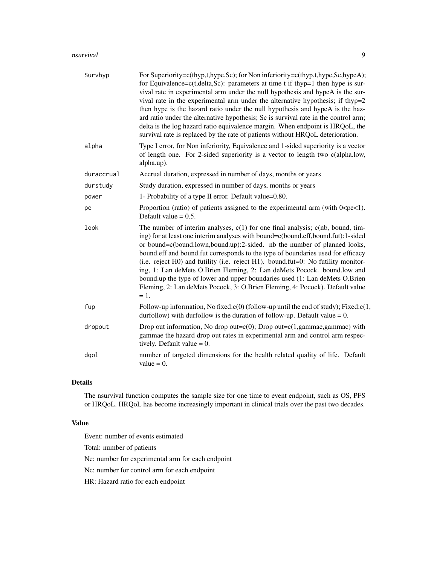#### nsurvival 9

| Survhyp    | For Superiority=c(thyp,t,hype,Sc); for Non inferiority=c(thyp,t,hype,Sc,hypeA);<br>for Equivalence= $c(t, delta, Sc)$ : parameters at time t if thyp=1 then hype is sur-<br>vival rate in experimental arm under the null hypothesis and hypeA is the sur-<br>vival rate in the experimental arm under the alternative hypothesis; if thyp=2<br>then hype is the hazard ratio under the null hypothesis and hypeA is the haz-<br>ard ratio under the alternative hypothesis; Sc is survival rate in the control arm;<br>delta is the log hazard ratio equivalence margin. When endpoint is HRQoL, the<br>survival rate is replaced by the rate of patients without HRQoL deterioration. |
|------------|-----------------------------------------------------------------------------------------------------------------------------------------------------------------------------------------------------------------------------------------------------------------------------------------------------------------------------------------------------------------------------------------------------------------------------------------------------------------------------------------------------------------------------------------------------------------------------------------------------------------------------------------------------------------------------------------|
| alpha      | Type I error, for Non inferiority, Equivalence and 1-sided superiority is a vector<br>of length one. For 2-sided superiority is a vector to length two c(alpha.low,<br>alpha.up).                                                                                                                                                                                                                                                                                                                                                                                                                                                                                                       |
| duraccrual | Accrual duration, expressed in number of days, months or years                                                                                                                                                                                                                                                                                                                                                                                                                                                                                                                                                                                                                          |
| durstudy   | Study duration, expressed in number of days, months or years                                                                                                                                                                                                                                                                                                                                                                                                                                                                                                                                                                                                                            |
| power      | 1- Probability of a type II error. Default value=0.80.                                                                                                                                                                                                                                                                                                                                                                                                                                                                                                                                                                                                                                  |
| pe         | Proportion (ratio) of patients assigned to the experimental arm (with $0 < p \in \{1\}$ ).<br>Default value $= 0.5$ .                                                                                                                                                                                                                                                                                                                                                                                                                                                                                                                                                                   |
| look       | The number of interim analyses, $c(1)$ for one final analysis; $c(nb$ , bound, tim-<br>ing) for at least one interim analyses with bound=c(bound.eff,bound.fut):1-sided<br>or bound=c(bound.lown,bound.up):2-sided. nb the number of planned looks,<br>bound.eff and bound.fut corresponds to the type of boundaries used for efficacy<br>(i.e. reject H0) and futility (i.e. reject H1). bound.fut=0: No futility monitor-<br>ing, 1: Lan deMets O.Brien Fleming, 2: Lan deMets Pocock. bound.low and<br>bound.up the type of lower and upper boundaries used (1: Lan deMets O.Brien<br>Fleming, 2: Lan deMets Pocock, 3: O.Brien Fleming, 4: Pocock). Default value<br>$=1.$          |
| fup        | Follow-up information, No fixed: $c(0)$ (follow-up until the end of study); Fixed: $c(1, 1)$<br>durfollow) with durfollow is the duration of follow-up. Default value $= 0$ .                                                                                                                                                                                                                                                                                                                                                                                                                                                                                                           |
| dropout    | Drop out information, No drop out= $c(0)$ ; Drop out= $c(1)$ , gammae, gammac) with<br>gammae the hazard drop out rates in experimental arm and control arm respec-<br>tively. Default value $= 0$ .                                                                                                                                                                                                                                                                                                                                                                                                                                                                                    |
| dqol       | number of targeted dimensions for the health related quality of life. Default<br>value $= 0$ .                                                                                                                                                                                                                                                                                                                                                                                                                                                                                                                                                                                          |

## Details

The nsurvival function computes the sample size for one time to event endpoint, such as OS, PFS or HRQoL. HRQoL has become increasingly important in clinical trials over the past two decades.

## Value

Event: number of events estimated

Total: number of patients

Ne: number for experimental arm for each endpoint

Nc: number for control arm for each endpoint

HR: Hazard ratio for each endpoint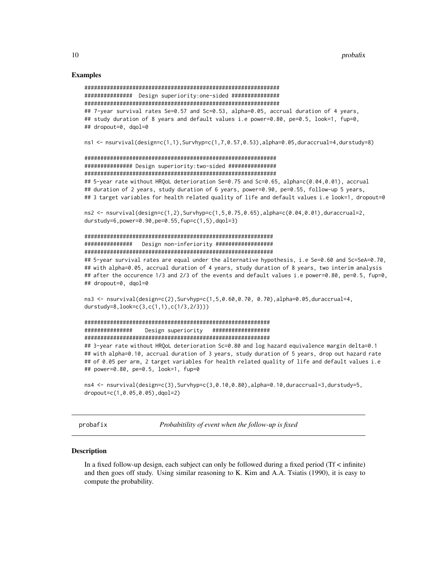#### **Examples**

```
############### Design superiority:one-sided ###############
## 7-year survival rates Se=0.57 and Sc=0.53, alpha=0.05, accrual duration of 4 years,
## study duration of 8 years and default values i.e power=0.80, pe=0.5, look=1, fup=0,
## dropout=0, dgol=0
```
ns1 <- nsurvival(design=c(1,1),Survhyp=c(1,7,0.57,0.53),alpha=0.05,duraccrual=4,durstudy=8)

```
################ Design superiority:two-sided ################
## 5-year rate without HRQoL deterioration Se=0.75 and Sc=0.65, alpha=c(0.04,0.01), accrual
## duration of 2 years, study duration of 6 years, power=0.90, pe=0.55, follow-up 5 years,
## 3 target variables for health related quality of life and default values i.e look=1, dropout=0
```
 $ns2 \leq nsurvival(design=c(1,2), Survhyp=c(1,5,0.75,0.65), alpha=c(0.04,0.01), duraccrual=2,$ durstudy=6, power=0.90, pe=0.55,  $fup=c(1,5)$ , dqol=3)

```
############### Design non-inferiority ###################
```
## 5-year survival rates are equal under the alternative hypothesis, i.e Se=0.60 and Sc=SeA=0.70, ## with alpha=0.05, accrual duration of 4 years, study duration of 8 years, two interim analysis ## after the occurence 1/3 and 2/3 of the events and default values i.e power=0.80, pe=0.5, fup=0, ## dropout=0, dqol=0

 $ns3 \leq$  nsurvival(design=c(2), Survhyp=c(1,5,0.60,0.70, 0.70), alpha=0.05, duraccrual=4, durstudy=8,  $look = c(3, c(1, 1), c(1/3, 2/3)))$ 

```
###############
     Design superiority ###################
```
## 3-year rate without HRQoL deterioration Sc=0.80 and log hazard equivalence margin delta=0.1 ## with alpha=0.10, accrual duration of 3 years, study duration of 5 years, drop out hazard rate ## of 0.05 per arm, 2 target variables for health related quality of life and default values i.e ## power=0.80, pe=0.5, look=1, fup=0

```
ns4 \leftarrow nsurvival(design=c(3), Survhyp=c(3,0.10,0.80), alpha=0.10, duraccrual=3, durstudy=5,
dropout=c(1, 0.05, 0.05), dqol=2)
```
probafix

Probabitility of event when the follow-up is fixed

#### **Description**

In a fixed follow-up design, each subject can only be followed during a fixed period ( $Tf \lt infinite$ ) and then goes off study. Using similar reasoning to K. Kim and A.A. Tsiatis (1990), it is easy to compute the probability.

<span id="page-9-0"></span>10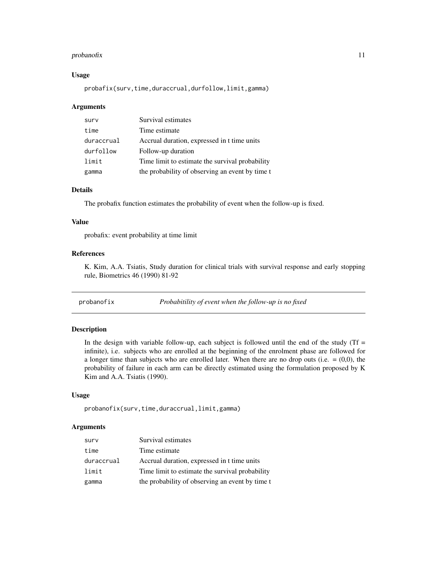#### <span id="page-10-0"></span>probanofix and the contract of the contract of the contract of the contract of the contract of the contract of the contract of the contract of the contract of the contract of the contract of the contract of the contract of

#### Usage

probafix(surv,time,duraccrual,durfollow,limit,gamma)

#### Arguments

| surv       | Survival estimates                              |
|------------|-------------------------------------------------|
| time       | Time estimate                                   |
| duraccrual | Accrual duration, expressed in t time units     |
| durfollow  | Follow-up duration                              |
| limit      | Time limit to estimate the survival probability |
| gamma      | the probability of observing an event by time t |

#### Details

The probafix function estimates the probability of event when the follow-up is fixed.

#### Value

probafix: event probability at time limit

## References

K. Kim, A.A. Tsiatis, Study duration for clinical trials with survival response and early stopping rule, Biometrics 46 (1990) 81-92

probanofix *Probabitility of event when the follow-up is no fixed*

## Description

In the design with variable follow-up, each subject is followed until the end of the study ( $Tf =$ infinite), i.e. subjects who are enrolled at the beginning of the enrolment phase are followed for a longer time than subjects who are enrolled later. When there are no drop outs (i.e.  $= (0,0)$ , the probability of failure in each arm can be directly estimated using the formulation proposed by K Kim and A.A. Tsiatis (1990).

#### Usage

```
probanofix(surv,time,duraccrual,limit,gamma)
```
#### Arguments

| surv       | Survival estimates                              |
|------------|-------------------------------------------------|
| time       | Time estimate                                   |
| duraccrual | Accrual duration, expressed in t time units     |
| limit      | Time limit to estimate the survival probability |
| gamma      | the probability of observing an event by time t |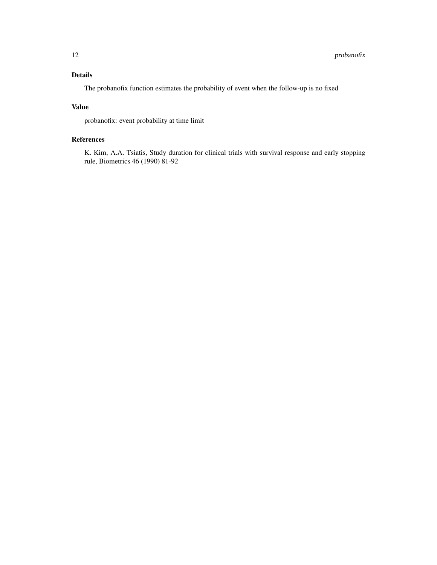## Details

The probanofix function estimates the probability of event when the follow-up is no fixed

## Value

probanofix: event probability at time limit

## References

K. Kim, A.A. Tsiatis, Study duration for clinical trials with survival response and early stopping rule, Biometrics 46 (1990) 81-92